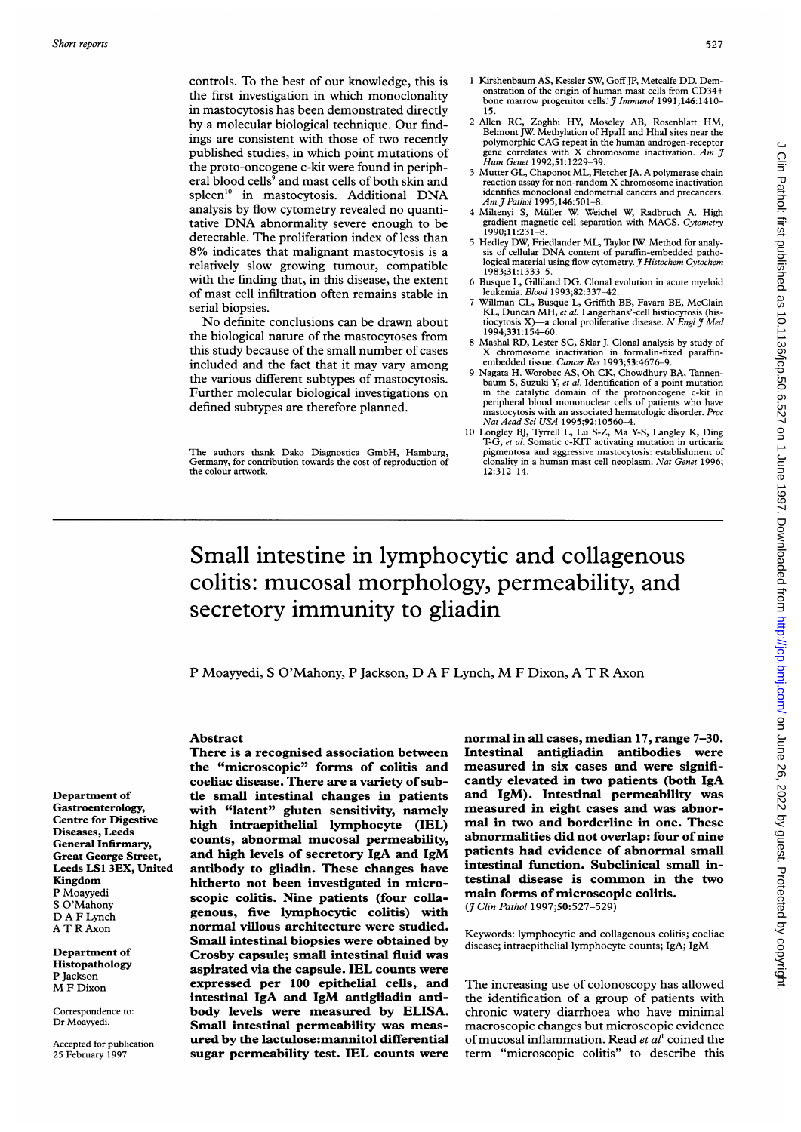controls. To the best of our knowledge, this is the first investigation in which monoclonality in mastocytosis has been demonstrated directly by a molecular biological technique. Our findings are consistent with those of two recently published studies, in which point mutations of the proto-oncogene c-kit were found in peripheral blood cells<sup>9</sup> and mast cells of both skin and spleen'0 in mastocytosis. Additional DNA analysis by flow cytometry revealed no quantitative DNA abnormality severe enough to be detectable. The proliferation index of less than 8% indicates that malignant mastocytosis is <sup>a</sup> relatively slow growing tumour, compatible with the finding that, in this disease, the extent of mast cell infiltration often remains stable in serial biopsies.

No definite conclusions can be drawn about the biological nature of the mastocytoses from this study because of the small number of cases included and the fact that it may vary among the various different subtypes of mastocytosis. Further molecular biological investigations on defined subtypes are therefore planned.

The authors thank Dako Diagnostica GmbH, Hamburg, Germany, for contribution towards the cost of reproduction of the colour artwork.

- <sup>1</sup> Kirshenbaum AS, Kessler SW, GoffJP, Metcalfe DD. Demonstration of the origin of human mast cells from CD34+ bone marrow progenitor cells:  $\tilde{\jmath}$  Immunol 1991;146:1410-
- 15. <sup>2</sup> Allen RC, Zoghbi HY, Moseley AB, Rosenblatt HM, Belmont JW. Methylation of HpaII and HhaI sites near the polymorphic CAG repeat in the human androgen-receptor gene correlates with X chromosome inactivation. Am  $\tilde{\jmath}$  Hum Genet 1992;51:1229-39.
- 3 Mutter GL, Chaponot ML, Fletcher JA. A polymerase chain reaction assay for non-random X chromosome inactivation identifies monoclonal endometrial cancers and precancers. Am I Pathol 1995;146:501-8.
- 4 Miltenyi S, Muller W. Weichel W, Radbruch A. High gradient magnetic cell separation with MACS. Cytometry<br>1990;11:231-8.
- <sup>5</sup> Hedley DW, Friedlander ML, Taylor IW. Method for analysis of cellular DNA content of paraffin-embedded pathological material using flow cytometry. J Histochem Cytochem 1983;31:1333-5.
- 6 Busque L, Gilliland DG. Clonal evolution in acute myeloid leukemia. Blood 1993;82:337-42.
- 7 Willman CL, Busque L, Griffith BB, Favara BE, McClain KL, Duncan MH, et al. Langerhans'-cell histiocytosis (histiocytosis X)—a clonal proliferative disease. N Engl  $\hat{\jmath}$  Med 1994;331:154-60.
- Mashal RD, Lester SC, Sklar J. Clonal analysis by study of X chromosome inactivation in formalin-fixed paraffin-embedded tissue. Cancer Res 1993;53:4676-9.
- 9 Nagata H. Worobec AS, Oh CK, Chowdhury BA, Tannen-<br>baum S, Suzuki Y, et al. Identification of a point mutation<br>in the catalytic domain of the protonocogene c-kit in<br>peripheral blood mononuclear cells of patients who hav Nat Acad Sci USA 1995;92:10560-4.
- <sup>10</sup> Longley BJ, Tyrrell L, Lu S-Z, Ma Y-S, Langley K, Ding T-G, et al. Somatic c-KIT activating mutation in urticaria pigmentosa and aggressive mastocytosis: establishment of clonality in a human mast cell neoplasm. Nat Genet 1996; 12:312-14.

# Small intestine in lymphocytic and collagenous colitis: mucosal morphology, permeability, and secretory immunity to gliadin

<sup>P</sup> Moayyedi, <sup>S</sup> O'Mahony, <sup>P</sup> Jackson, D A <sup>F</sup> Lynch, M <sup>F</sup> Dixon, A T R Axon

Department of Gastroenterology, Centre for Digestive Diseases, Leeds General Infirmary, Great George Street, Leeds LS1 3EX, United Kingdom P Moayyedi S O'Mahony D A F Lynch A T R Axon

Department of Histopathology P Jackson M <sup>F</sup> Dixon

Correspondence to: Dr Moayyedi.

Accepted for publication 25 February 1997

Abstract There is a recognised association between the "microscopic" forms of colitis and coeliac disease. There are a variety of subtle small intestinal changes in patients with "latent" gluten sensitivity, namely high intraepithelial lymphocyte (IEL) counts, abnormal mucosal permeability, and high levels of secretory IgA and IgM antibody to gliadin. These changes have hitherto not been investigated in microscopic colitis. Nine patients (four coliagenous, five lymphocytic colitis) with normal villous architecture were studied. Small intestinal biopsies were obtained by Crosby capsule; small intestinal fluid was aspirated via the capsule. IEL counts were expressed per 100 epithelial cells, and intestinal IgA and IgM antigliadin antibody levels were measured by ELISA. Small intestinal permeability was measured by the lactulose:mannitol differential sugar permeability test. IEL counts were normal in all cases, median 17, range 7-30. Intestinal antigliadin antibodies were measured in six cases and were significantly elevated in two patients (both IgA and IgM). Intestinal permeability was measured in eight cases and was abnormal in two and borderline in one. These abnormalities did not overlap: four of nine patients had evidence of abnormal small intestinal function. Subclinical small intestinal disease is common in the two main forms of microscopic colitis. (7 Clin Pathol 1997;50:527-529)

Keywords: lymphocytic and collagenous colitis; coeliac disease; intraepithelial lymphocyte counts; IgA; IgM

The increasing use of colonoscopy has allowed the identification of a group of patients with chronic watery diarrhoea who have minimal macroscopic changes but microscopic evidence of mucosal inflammation. Read et  $al<sup>1</sup>$  coined the term "microscopic colitis" to describe this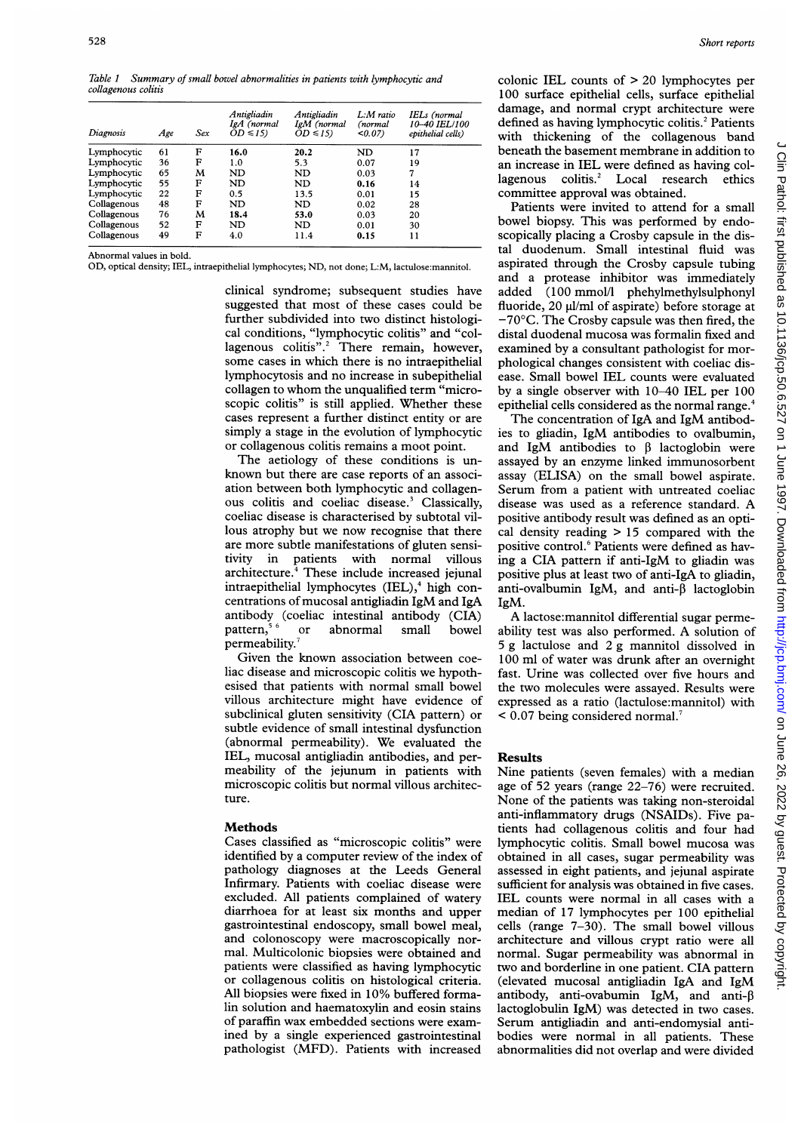Table <sup>1</sup> Summary of small bowel abnormalities in patients with lymphocytic and collagenous colitis

| Diagnosis   | Age | Sex | Antigliadin<br>IgA (normal<br>$OD \leq 15$ | Antigliadin<br>IgM (normal<br>$OD \leq 15$ | L:M ratio<br>(normal<br>$<0.07$ ) | IELs (normal<br>10-40 IEL/100<br>epithelial cells) |
|-------------|-----|-----|--------------------------------------------|--------------------------------------------|-----------------------------------|----------------------------------------------------|
| Lymphocytic | 61  | F   | 16.0                                       | 20.2                                       | ND                                | 17                                                 |
| Lymphocytic | 36  | F   | 1.0                                        | 5.3                                        | 0.07                              | 19                                                 |
| Lymphocytic | 65  | м   | ND                                         | ND                                         | 0.03                              | 7                                                  |
| Lymphocytic | 55  | F   | ND                                         | ND                                         | 0.16                              | 14                                                 |
| Lymphocytic | 22  | F   | 0.5                                        | 13.5                                       | 0.01                              | 15                                                 |
| Collagenous | 48  | F   | ND                                         | ND                                         | 0.02                              | 28                                                 |
| Collagenous | 76  | м   | 18.4                                       | 53.0                                       | 0.03                              | 20                                                 |
| Collagenous | 52  | F   | ND                                         | ND                                         | 0.01                              | 30                                                 |
| Collagenous | 49  | F   | 4.0                                        | 11.4                                       | 0.15                              | 11                                                 |

Abnormal values in bold.

OD, optical density; IEL, intraepithelial lymphocytes; ND, not done; L:M, lactulose:mannitol.

clinical syndrome; subsequent studies have suggested that most of these cases could be further subdivided into two distinct histological conditions, "lymphocytic colitis" and "collagenous colitis".<sup>2</sup> There remain, however, some cases in which there is no intraepithelial lymphocytosis and no increase in subepithelial collagen to whom the unqualified term "microscopic colitis" is still applied. Whether these cases represent a further distinct entity or are simply a stage in the evolution of lymphocytic or collagenous colitis remains a moot point.

The aetiology of these conditions is unknown but there are case reports of an association between both lymphocytic and collagenous colitis and coeliac disease.3 Classically, coeliac disease is characterised by subtotal villous atrophy but we now recognise that there are more subtle manifestations of gluten sensitivity in patients with normal villous architecture.<sup>4</sup> These include increased jejunal intraepithelial lymphocytes  $(IEL),$ <sup>4</sup> high concentrations of mucosal antigliadin IgM and IgA antibody (coeliac intestinal antibody (CIA) pattern,56 or abnormal small bowel permeability.

Given the known association between coeliac disease and microscopic colitis we hypothesised that patients with normal small bowel villous architecture might have evidence of subclinical gluten sensitivity (CIA pattern) or subtle evidence of small intestinal dysfunction (abnormal permeability). We evaluated the IEL, mucosal antigliadin antibodies, and permeability of the jejunum in patients with microscopic colitis but normal villous architecture.

### **Methods**

Cases classified as "microscopic colitis" were identified by a computer review of the index of pathology diagnoses at the Leeds General Infirmary. Patients with coeliac disease were excluded. All patients complained of watery diarrhoea for at least six months and upper gastrointestinal endoscopy, small bowel meal, and colonoscopy were macroscopically normal. Multicolonic biopsies were obtained and patients were classified as having lymphocytic or collagenous colitis on histological criteria. All biopsies were fixed in 10% buffered formalin solution and haematoxylin and eosin stains of paraffin wax embedded sections were examined by a single experienced gastrointestinal pathologist (MFD). Patients with increased

colonic IEL counts of > 20 lymphocytes per 100 surface epithelial cells, surface epithelial damage, and normal crypt architecture were defined as having lymphocytic colitis.<sup>2</sup> Patients with thickening of the collagenous band beneath the basement membrane in addition to an increase in IEL were defined as having collagenous colitis.<sup>2</sup> Local research ethics committee approval was obtained.

Patients were invited to attend for a small bowel biopsy. This was performed by endoscopically placing a Crosby capsule in the distal duodenum. Small intestinal fluid was aspirated through the Crosby capsule tubing and <sup>a</sup> protease inhibitor was immediately added (100 mmol/l phehylmethylsulphonyl fluoride,  $20 \text{ ul/ml}$  of aspirate) before storage at  $-70^{\circ}$ C. The Crosby capsule was then fired, the distal duodenal mucosa was formalin fixed and examined by a consultant pathologist for morphological changes consistent with coeliac disease. Small bowel IEL counts were evaluated by a single observer with 10-40 IEL per 100 epithelial cells considered as the normal range.<sup>4</sup>

The concentration of IgA and IgM antibodies to gliadin, IgM antibodies to ovalbumin, and IgM antibodies to  $\beta$  lactoglobin were assayed by an enzyme linked immunosorbent assay (ELISA) on the small bowel aspirate. Serum from <sup>a</sup> patient with untreated coeliac disease was used as <sup>a</sup> reference standard. A positive antibody result was defined as an optical density reading  $> 15$  compared with the positive control.<sup>6</sup> Patients were defined as having <sup>a</sup> CIA pattern if anti-IgM to gliadin was positive plus at least two of anti-IgA to gliadin, anti-ovalbumin IgM, and anti- $\beta$  lactoglobin IgM.

A lactose:mannitol differential sugar permeability test was also performed. A solution of <sup>5</sup> <sup>g</sup> lactulose and <sup>2</sup> g mannitol dissolved in 100 ml of water was drunk after an overnight fast. Urine was collected over five hours and the two molecules were assayed. Results were expressed as a ratio (lactulose:mannitol) with  $\leq 0.07$  being considered normal.<sup>7</sup>

# Results

Nine patients (seven females) with a median age of 52 years (range 22-76) were recruited. None of the patients was taking non-steroidal anti-inflammatory drugs (NSAIDs). Five patients had collagenous colitis and four had lymphocytic colitis. Small bowel mucosa was obtained in all cases, sugar permeability was assessed in eight patients, and jejunal aspirate sufficient for analysis was obtained in five cases. IEL counts were normal in all cases with a median of 17 lymphocytes per 100 epithelial cells (range 7-30). The small bowel villous architecture and villous crypt ratio were all normal. Sugar permeability was abnormal in two and borderline in one patient. CIA pattern (elevated mucosal antigliadin IgA and IgM antibody, anti-ovabumin IgM, and anti- $\beta$ lactoglobulin IgM) was detected in two cases. Serum antigliadin and anti-endomysial antibodies were normal in all patients. These abnormalities did not overlap and were divided